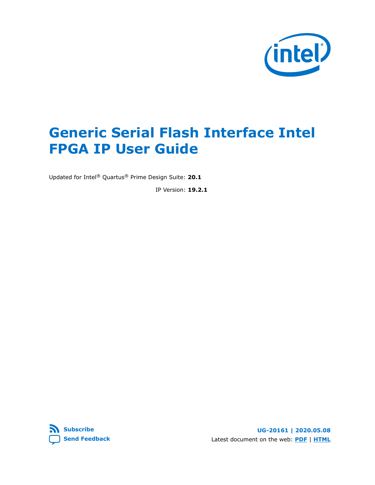

# **Generic Serial Flash Interface Intel FPGA IP User Guide**

Updated for Intel® Quartus® Prime Design Suite: **20.1**

IP Version: **19.2.1**

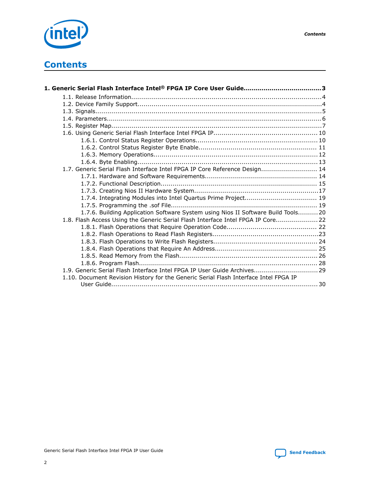

# **Contents**

| 1.7. Generic Serial Flash Interface Intel FPGA IP Core Reference Design 14           |  |
|--------------------------------------------------------------------------------------|--|
|                                                                                      |  |
|                                                                                      |  |
|                                                                                      |  |
|                                                                                      |  |
|                                                                                      |  |
| 1.7.6. Building Application Software System using Nios II Software Build Tools 20    |  |
| 1.8. Flash Access Using the Generic Serial Flash Interface Intel FPGA IP Core 22     |  |
|                                                                                      |  |
|                                                                                      |  |
|                                                                                      |  |
|                                                                                      |  |
|                                                                                      |  |
|                                                                                      |  |
| 1.9. Generic Serial Flash Interface Intel FPGA IP User Guide Archives 29             |  |
| 1.10. Document Revision History for the Generic Serial Flash Interface Intel FPGA IP |  |
|                                                                                      |  |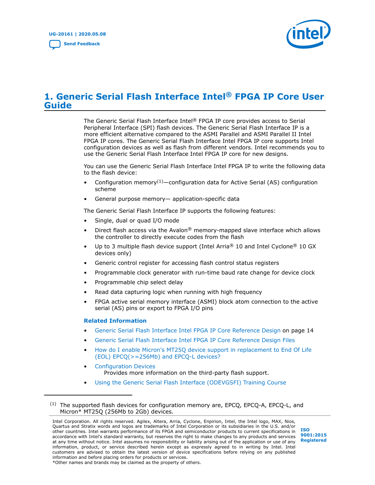

# <span id="page-2-0"></span>**1. Generic Serial Flash Interface Intel® FPGA IP Core User Guide**

The Generic Serial Flash Interface Intel® FPGA IP core provides access to Serial Peripheral Interface (SPI) flash devices. The Generic Serial Flash Interface IP is a more efficient alternative compared to the ASMI Parallel and ASMI Parallel II Intel FPGA IP cores. The Generic Serial Flash Interface Intel FPGA IP core supports Intel configuration devices as well as flash from different vendors. Intel recommends you to use the Generic Serial Flash Interface Intel FPGA IP core for new designs.

You can use the Generic Serial Flash Interface Intel FPGA IP to write the following data to the flash device:

- Configuration memory<sup>(1)</sup>—configuration data for Active Serial (AS) configuration scheme
- General purpose memory— application-specific data

The Generic Serial Flash Interface IP supports the following features:

- Single, dual or quad I/O mode
- Direct flash access via the Avalon<sup>®</sup> memory-mapped slave interface which allows the controller to directly execute codes from the flash
- Up to 3 multiple flash device support (Intel Arria<sup>®</sup> 10 and Intel Cyclone<sup>®</sup> 10 GX devices only)
- Generic control register for accessing flash control status registers
- Programmable clock generator with run-time baud rate change for device clock
- Programmable chip select delay
- Read data capturing logic when running with high frequency
- FPGA active serial memory interface (ASMI) block atom connection to the active serial (AS) pins or export to FPGA I/O pins

### **Related Information**

- [Generic Serial Flash Interface Intel FPGA IP Core Reference Design](#page-13-0) on page 14
- [Generic Serial Flash Interface Intel FPGA IP Core Reference Design Files](https://cloud.altera.com/devstore/platform/2179/)
- [How do I enable Micron's MT25Q device support in replacement to End Of Life](https://www.altera.com/support/support-resources/knowledge-base/component/2018/how-do-i-enable-micron-s-mt25q-support-for-eol-of-epcq---256mb--.html?cq_ck=1522223941654) [\(EOL\) EPCQ\(>=256Mb\) and EPCQ-L devices?](https://www.altera.com/support/support-resources/knowledge-base/component/2018/how-do-i-enable-micron-s-mt25q-support-for-eol-of-epcq---256mb--.html?cq_ck=1522223941654)
- [Configuration Devices](https://www.intel.com/content/www/us/en/products/programmable/configuration-device.html) Provides more information on the third-party flash support.
- [Using the Generic Serial Flash Interface \(ODEVGSFI\) Training Course](https://www.intel.com/content/www/us/en/programmable/support/training/course/odevgsfi.html)

Intel Corporation. All rights reserved. Agilex, Altera, Arria, Cyclone, Enpirion, Intel, the Intel logo, MAX, Nios, Quartus and Stratix words and logos are trademarks of Intel Corporation or its subsidiaries in the U.S. and/or other countries. Intel warrants performance of its FPGA and semiconductor products to current specifications in accordance with Intel's standard warranty, but reserves the right to make changes to any products and services at any time without notice. Intel assumes no responsibility or liability arising out of the application or use of any information, product, or service described herein except as expressly agreed to in writing by Intel. Intel customers are advised to obtain the latest version of device specifications before relying on any published information and before placing orders for products or services. \*Other names and brands may be claimed as the property of others.



 $(1)$  The supported flash devices for configuration memory are, EPCQ, EPCQ-A, EPCQ-L, and Micron\* MT25Q (256Mb to 2Gb) devices.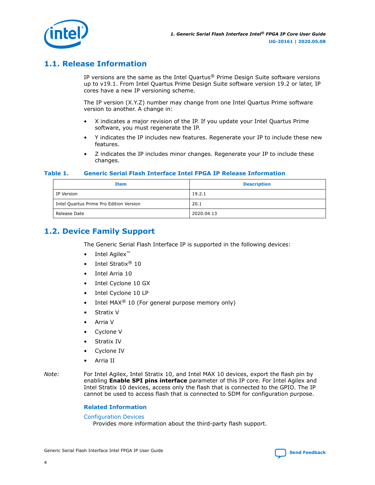<span id="page-3-0"></span>

# **1.1. Release Information**

IP versions are the same as the Intel Quartus<sup>®</sup> Prime Design Suite software versions up to v19.1. From Intel Quartus Prime Design Suite software version 19.2 or later, IP cores have a new IP versioning scheme.

The IP version (X.Y.Z) number may change from one Intel Quartus Prime software version to another. A change in:

- X indicates a major revision of the IP. If you update your Intel Quartus Prime software, you must regenerate the IP.
- Y indicates the IP includes new features. Regenerate your IP to include these new features.
- Z indicates the IP includes minor changes. Regenerate your IP to include these changes.

## **Table 1. Generic Serial Flash Interface Intel FPGA IP Release Information**

| <b>Item</b>                             | <b>Description</b> |
|-----------------------------------------|--------------------|
| IP Version                              | 19.2.1             |
| Intel Quartus Prime Pro Edition Version | 20.1               |
| Release Date                            | 2020.04.13         |

# **1.2. Device Family Support**

The Generic Serial Flash Interface IP is supported in the following devices:

- Intel Agilex<sup>™</sup>
- Intel Stratix<sup>®</sup> 10
- Intel Arria 10
- Intel Cyclone 10 GX
- Intel Cyclone 10 LP
- Intel MAX<sup>®</sup> 10 (For general purpose memory only)
- Stratix V
- Arria V
- Cyclone V
- Stratix IV
- Cyclone IV
- Arria II
- *Note:* For Intel Agilex, Intel Stratix 10, and Intel MAX 10 devices, export the flash pin by enabling **Enable SPI pins interface** parameter of this IP core. For Intel Agilex and Intel Stratix 10 devices, access only the flash that is connected to the GPIO. The IP cannot be used to access flash that is connected to SDM for configuration purpose.

### **Related Information**

#### [Configuration Devices](https://www.intel.com/content/www/us/en/products/programmable/configuration-device.html)

Provides more information about the third-party flash support.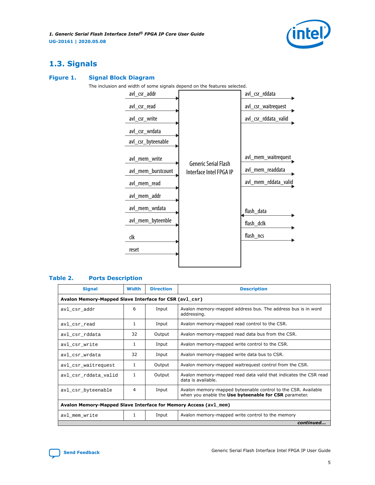

# <span id="page-4-0"></span>**1.3. Signals**

# **Figure 1. Signal Block Diagram**

The inclusion and width of some signals depend on the features selected.

| avl_csr_addr       |                                                        | avl_csr_rddata       |
|--------------------|--------------------------------------------------------|----------------------|
| avl_csr_read       |                                                        | avl_csr_waitrequest  |
| avl_csr_write      |                                                        | avl_csr_rddata_valid |
| avl_csr_wrdata     |                                                        |                      |
| avl_csr_byteenable |                                                        |                      |
| avl_mem_write      |                                                        | avl_mem_waitrequest  |
| avl_mem_burstcount | <b>Generic Serial Flash</b><br>Interface Intel FPGA IP | avl_mem_readdata     |
| avl_mem_read       |                                                        | avl_mem_rddata_valid |
| avl_mem_addr       |                                                        |                      |
| avl_mem_wrdata     |                                                        | flash_data           |
| avl_mem_byteenble  |                                                        | flash_dclk           |
| clk                |                                                        | flash_ncs            |
| reset              |                                                        |                      |
|                    |                                                        |                      |

# **Table 2. Ports Description**

| <b>Signal</b>                                                    | <b>Width</b> | <b>Direction</b> | <b>Description</b>                                                                                                     |  |  |  |  |  |
|------------------------------------------------------------------|--------------|------------------|------------------------------------------------------------------------------------------------------------------------|--|--|--|--|--|
| Avalon Memory-Mapped Slave Interface for CSR (av1_csr)           |              |                  |                                                                                                                        |  |  |  |  |  |
| avl csr addr                                                     | 6            | Input            | Avalon memory-mapped address bus. The address bus is in word<br>addressing.                                            |  |  |  |  |  |
| avl csr read                                                     | 1            | Input            | Avalon memory-mapped read control to the CSR.                                                                          |  |  |  |  |  |
| avl csr rddata                                                   | 32           | Output           | Avalon memory-mapped read data bus from the CSR.                                                                       |  |  |  |  |  |
| avl_csr_write                                                    | 1            | Input            | Avalon memory-mapped write control to the CSR.                                                                         |  |  |  |  |  |
| avl csr wrdata                                                   | 32           | Input            | Avalon memory-mapped write data bus to CSR.                                                                            |  |  |  |  |  |
| avl_csr_waitrequest                                              | 1            | Output           | Avalon memory-mapped waitrequest control from the CSR.                                                                 |  |  |  |  |  |
| avl csr rddata valid                                             | 1            | Output           | Avalon memory-mapped read data valid that indicates the CSR read<br>data is available.                                 |  |  |  |  |  |
| avl csr byteenable                                               | 4            | Input            | Avalon memory-mapped byteenable control to the CSR. Available<br>when you enable the Use byteenable for CSR parameter. |  |  |  |  |  |
| Avalon Memory-Mapped Slave Interface for Memory Access (av1_mem) |              |                  |                                                                                                                        |  |  |  |  |  |
| avl mem write                                                    | 1            | Input            | Avalon memory-mapped write control to the memory                                                                       |  |  |  |  |  |
|                                                                  |              |                  | continued                                                                                                              |  |  |  |  |  |

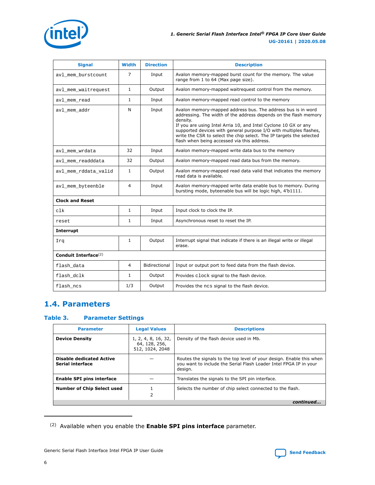<span id="page-5-0"></span>

| <b>Signal</b>                    | <b>Width</b>   | <b>Direction</b> | <b>Description</b>                                                                                                                                                                                                                                                                                                                                                                                           |  |  |
|----------------------------------|----------------|------------------|--------------------------------------------------------------------------------------------------------------------------------------------------------------------------------------------------------------------------------------------------------------------------------------------------------------------------------------------------------------------------------------------------------------|--|--|
| avl_mem_burstcount               | 7              | Input            | Avalon memory-mapped burst count for the memory. The value<br>range from 1 to 64 (Max page size).                                                                                                                                                                                                                                                                                                            |  |  |
| avl_mem_waitrequest              | $\mathbf{1}$   | Output           | Avalon memory-mapped waitrequest control from the memory.                                                                                                                                                                                                                                                                                                                                                    |  |  |
| avl_mem_read                     | $\mathbf{1}$   | Input            | Avalon memory-mapped read control to the memory                                                                                                                                                                                                                                                                                                                                                              |  |  |
| avl_mem_addr                     | N              | Input            | Avalon memory-mapped address bus. The address bus is in word<br>addressing. The width of the address depends on the flash memory<br>density.<br>If you are using Intel Arria 10, and Intel Cyclone 10 GX or any<br>supported devices with general purpose I/O with multiples flashes,<br>write the CSR to select the chip select. The IP targets the selected<br>flash when being accessed via this address. |  |  |
| avl_mem_wrdata                   | 32             | Input            | Avalon memory-mapped write data bus to the memory                                                                                                                                                                                                                                                                                                                                                            |  |  |
| avl_mem_readddata                | 32             | Output           | Avalon memory-mapped read data bus from the memory.                                                                                                                                                                                                                                                                                                                                                          |  |  |
| avl_mem_rddata_valid             | $\mathbf{1}$   | Output           | Avalon memory-mapped read data valid that indicates the memory<br>read data is available.                                                                                                                                                                                                                                                                                                                    |  |  |
| avl mem byteenble                | 4              | Input            | Avalon memory-mapped write data enable bus to memory. During<br>bursting mode, byteenable bus will be logic high, 4'b1111.                                                                                                                                                                                                                                                                                   |  |  |
| <b>Clock and Reset</b>           |                |                  |                                                                                                                                                                                                                                                                                                                                                                                                              |  |  |
| clk                              | $\mathbf{1}$   | Input            | Input clock to clock the IP.                                                                                                                                                                                                                                                                                                                                                                                 |  |  |
| reset                            | $\mathbf{1}$   | Input            | Asynchronous reset to reset the IP.                                                                                                                                                                                                                                                                                                                                                                          |  |  |
| <b>Interrupt</b>                 |                |                  |                                                                                                                                                                                                                                                                                                                                                                                                              |  |  |
| Irq                              | $\mathbf{1}$   | Output           | Interrupt signal that indicate if there is an illegal write or illegal<br>erase.                                                                                                                                                                                                                                                                                                                             |  |  |
| Conduit Interface <sup>(2)</sup> |                |                  |                                                                                                                                                                                                                                                                                                                                                                                                              |  |  |
| flash_data                       | $\overline{4}$ | Bidirectional    | Input or output port to feed data from the flash device.                                                                                                                                                                                                                                                                                                                                                     |  |  |
| flash dclk                       | $\mathbf{1}$   | Output           | Provides clock signal to the flash device.                                                                                                                                                                                                                                                                                                                                                                   |  |  |
| flash ncs                        | 1/3            | Output           | Provides the ncs signal to the flash device.                                                                                                                                                                                                                                                                                                                                                                 |  |  |

# **1.4. Parameters**

# **Table 3. Parameter Settings**

| <b>Parameter</b>                                           | <b>Legal Values</b>                                     | <b>Descriptions</b>                                                                                                                                  |  |
|------------------------------------------------------------|---------------------------------------------------------|------------------------------------------------------------------------------------------------------------------------------------------------------|--|
| <b>Device Density</b>                                      | 1, 2, 4, 8, 16, 32,<br>64, 128, 256,<br>512, 1024, 2048 | Density of the flash device used in Mb.                                                                                                              |  |
| <b>Disable dedicated Active</b><br><b>Serial interface</b> |                                                         | Routes the signals to the top level of your design. Enable this when<br>you want to include the Serial Flash Loader Intel FPGA IP in your<br>design. |  |
| <b>Enable SPI pins interface</b>                           |                                                         | Translates the signals to the SPI pin interface.                                                                                                     |  |
| <b>Number of Chip Select used</b>                          | 2                                                       | Selects the number of chip select connected to the flash.                                                                                            |  |
|                                                            |                                                         | continued                                                                                                                                            |  |

<sup>(2)</sup> Available when you enable the **Enable SPI pins interface** parameter.

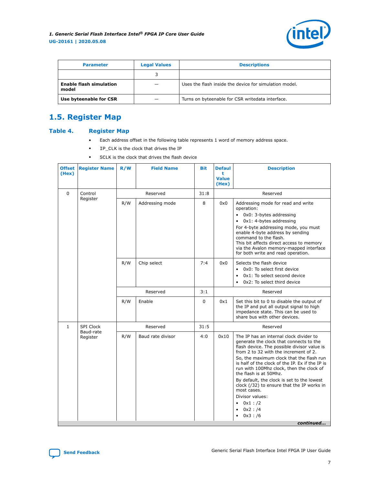

<span id="page-6-0"></span>

| <b>Parameter</b>                        | <b>Legal Values</b> | <b>Descriptions</b>                                    |  |  |  |
|-----------------------------------------|---------------------|--------------------------------------------------------|--|--|--|
|                                         |                     |                                                        |  |  |  |
| <b>Enable flash simulation</b><br>model |                     | Uses the flash inside the device for simulation model. |  |  |  |
| Use byteenable for CSR                  |                     | Turns on byteenable for CSR writedata interface.       |  |  |  |

# **1.5. Register Map**

## **Table 4. Register Map**

- Each address offset in the following table represents 1 word of memory address space.
- IP\_CLK is the clock that drives the IP
- SCLK is the clock that drives the flash device

| <b>Offset</b><br>(Hex) | <b>Register Name</b>  | R/W      | <b>Field Name</b> | <b>Bit</b> | <b>Defaul</b><br>t<br><b>Value</b><br>(Hex) | <b>Description</b>                                                                                                                                                                                                                                                                                                                                                                                                                                                                                                        |  |
|------------------------|-----------------------|----------|-------------------|------------|---------------------------------------------|---------------------------------------------------------------------------------------------------------------------------------------------------------------------------------------------------------------------------------------------------------------------------------------------------------------------------------------------------------------------------------------------------------------------------------------------------------------------------------------------------------------------------|--|
| $\Omega$               | Control               |          | Reserved          | 31:8       |                                             | Reserved                                                                                                                                                                                                                                                                                                                                                                                                                                                                                                                  |  |
|                        | Register              | R/W      | Addressing mode   | 8          | 0x0                                         | Addressing mode for read and write<br>operation:<br>0x0: 3-bytes addressing<br>$\bullet$<br>0x1: 4-bytes addressing<br>For 4-byte addressing mode, you must<br>enable 4-byte address by sending<br>command to the flash.<br>This bit affects direct access to memory<br>via the Avalon memory-mapped interface<br>for both write and read operation.                                                                                                                                                                      |  |
|                        |                       | R/W      | Chip select       | 7:4        | 0x0                                         | Selects the flash device<br>0x0: To select first device<br>$\bullet$<br>0x1: To select second device<br>$\bullet$<br>0x2: To select third device<br>٠                                                                                                                                                                                                                                                                                                                                                                     |  |
|                        |                       | Reserved |                   | 3:1        |                                             | Reserved                                                                                                                                                                                                                                                                                                                                                                                                                                                                                                                  |  |
|                        |                       | R/W      | Enable            | $\Omega$   | 0x1                                         | Set this bit to 0 to disable the output of<br>the IP and put all output signal to high<br>impedance state. This can be used to<br>share bus with other devices.                                                                                                                                                                                                                                                                                                                                                           |  |
| $\mathbf{1}$           | SPI Clock             |          | Reserved          | 31:5       |                                             | Reserved                                                                                                                                                                                                                                                                                                                                                                                                                                                                                                                  |  |
|                        | Baud-rate<br>Register | R/W      | Baud rate divisor | 4:0        | 0x10                                        | The IP has an internal clock divider to<br>generate the clock that connects to the<br>flash device. The possible divisor value is<br>from 2 to 32 with the increment of 2.<br>So, the maximum clock that the flash run<br>is half of the clock of the IP. Ex if the IP is<br>run with 100Mhz clock, then the clock of<br>the flash is at 50Mhz.<br>By default, the clock is set to the lowest<br>clock (/32) to ensure that the IP works in<br>most cases.<br>Divisor values:<br>0x1:72<br>٠<br>$0x2$ : /4<br>٠<br>0x3:76 |  |

*continued...* 

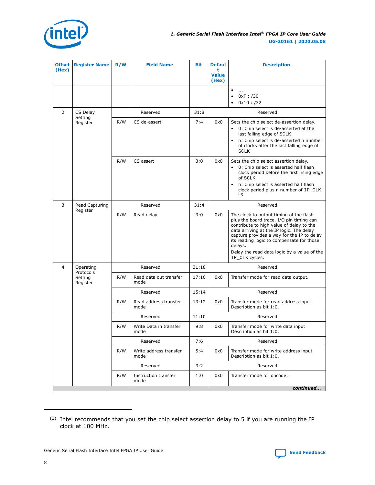

| <b>Offset</b><br>(Hex) | <b>Register Name</b>             | R/W | <b>Field Name</b>              | <b>Bit</b> | <b>Defaul</b><br>t<br><b>Value</b><br>(Hex) | <b>Description</b>                                                                                                                                                                                                                                                                                                                                 |  |
|------------------------|----------------------------------|-----|--------------------------------|------------|---------------------------------------------|----------------------------------------------------------------------------------------------------------------------------------------------------------------------------------------------------------------------------------------------------------------------------------------------------------------------------------------------------|--|
|                        |                                  |     |                                |            |                                             | $\bullet$<br>$\cdots$<br>0xF : /30<br>$\bullet$<br>$0x10$ : /32<br>٠                                                                                                                                                                                                                                                                               |  |
| 2                      | CS Delay<br>Setting              |     | Reserved                       | 31:8       |                                             | Reserved                                                                                                                                                                                                                                                                                                                                           |  |
|                        | Register                         | R/W | CS de-assert                   | 7:4        | 0x0                                         | Sets the chip select de-assertion delay.<br>0: Chip select is de-asserted at the<br>$\bullet$<br>last falling edge of SCLK<br>n: Chip select is de-asserted n number<br>of clocks after the last falling edge of<br><b>SCLK</b>                                                                                                                    |  |
|                        |                                  | R/W | CS assert                      | 3:0        | 0x0                                         | Sets the chip select assertion delay.<br>• 0: Chip select is asserted half flash<br>clock period before the first rising edge<br>of SCLK<br>n: Chip select is asserted half flash<br>clock period plus n number of IP_CLK.<br>(3)                                                                                                                  |  |
| 3                      | Read Capturing                   |     | Reserved                       | 31:4       |                                             | Reserved                                                                                                                                                                                                                                                                                                                                           |  |
|                        | Register                         | R/W | Read delay                     | 3:0        | 0x0                                         | The clock to output timing of the flash<br>plus the board trace, I/O pin timing can<br>contribute to high value of delay to the<br>data arriving at the IP logic. The delay<br>capture provides a way for the IP to delay<br>its reading logic to compensate for those<br>delays.<br>Delay the read data logic by a value of the<br>IP_CLK cycles. |  |
| $\overline{4}$         | Operating                        |     | Reserved                       | 31:18      |                                             | Reserved                                                                                                                                                                                                                                                                                                                                           |  |
|                        | Protocols<br>Setting<br>Register | R/W | Read data out transfer<br>mode | 17:16      | 0x0                                         | Transfer mode for read data output.                                                                                                                                                                                                                                                                                                                |  |
|                        |                                  |     | Reserved                       | 15:14      |                                             | Reserved                                                                                                                                                                                                                                                                                                                                           |  |
|                        |                                  | R/W | Read address transfer<br>mode  | 13:12      | 0x0                                         | Transfer mode for read address input<br>Description as bit 1:0.                                                                                                                                                                                                                                                                                    |  |
|                        |                                  |     | Reserved                       | 11:10      |                                             | Reserved                                                                                                                                                                                                                                                                                                                                           |  |
|                        |                                  | R/W | Write Data in transfer<br>mode | 9:8        | 0x0                                         | Transfer mode for write data input<br>Description as bit 1:0.                                                                                                                                                                                                                                                                                      |  |
|                        |                                  |     | Reserved                       | 7:6        |                                             | Reserved                                                                                                                                                                                                                                                                                                                                           |  |
|                        |                                  | R/W | Write address transfer<br>mode | 5:4        | 0x0                                         | Transfer mode for write address input<br>Description as bit 1:0.                                                                                                                                                                                                                                                                                   |  |
|                        |                                  |     | Reserved                       | 3:2        |                                             | Reserved                                                                                                                                                                                                                                                                                                                                           |  |
|                        |                                  | R/W | Instruction transfer<br>mode   | 1:0        | 0x0                                         | Transfer mode for opcode:                                                                                                                                                                                                                                                                                                                          |  |
|                        |                                  |     |                                |            |                                             | continued                                                                                                                                                                                                                                                                                                                                          |  |

<sup>(3)</sup> Intel recommends that you set the chip select assertion delay to 5 if you are running the IP clock at 100 MHz.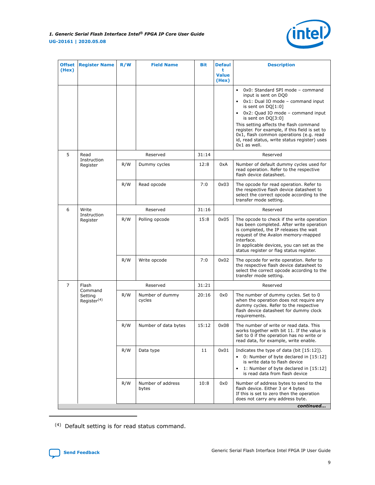

| <b>Offset</b><br>(Hex) | <b>Register Name</b>                          | R/W      | <b>Field Name</b>          | Bit   | <b>Defaul</b><br>t<br><b>Value</b><br>(Hex) | <b>Description</b>                                                                                                                                                                                                                                                                                                                                                                            |  |
|------------------------|-----------------------------------------------|----------|----------------------------|-------|---------------------------------------------|-----------------------------------------------------------------------------------------------------------------------------------------------------------------------------------------------------------------------------------------------------------------------------------------------------------------------------------------------------------------------------------------------|--|
|                        |                                               |          |                            |       |                                             | • 0x0: Standard SPI mode - command<br>input is sent on DQ0<br>0x1: Dual IO mode - command input<br>is sent on $DQ[1:0]$<br>• 0x2: Quad IO mode - command input<br>is sent on $DQ[3:0]$<br>This setting affects the flash command<br>register. For example, if this field is set to<br>0x1, flash common operations (e.g. read<br>id, read status, write status register) uses<br>0x1 as well. |  |
| 5                      | Read                                          |          | Reserved                   | 31:14 |                                             | Reserved                                                                                                                                                                                                                                                                                                                                                                                      |  |
|                        | Instruction<br>Register                       | R/W      | Dummy cycles               | 12:8  | 0xA                                         | Number of default dummy cycles used for<br>read operation. Refer to the respective<br>flash device datasheet.                                                                                                                                                                                                                                                                                 |  |
|                        |                                               | R/W      | Read opcode                | 7:0   | 0x03                                        | The opcode for read operation. Refer to<br>the respective flash device datasheet to<br>select the correct opcode according to the<br>transfer mode setting.                                                                                                                                                                                                                                   |  |
| 6                      | Write<br>Instruction                          | Reserved |                            | 31:16 |                                             | Reserved                                                                                                                                                                                                                                                                                                                                                                                      |  |
|                        | Register                                      | R/W      | Polling opcode             | 15:8  | 0x05                                        | The opcode to check if the write operation<br>has been completed. After write operation<br>is completed, the IP releases the wait<br>request of the Avalon memory-mapped<br>interface.<br>In applicable devices, you can set as the<br>status register or flag status register.                                                                                                               |  |
|                        |                                               | R/W      | Write opcode               | 7:0   | 0x02                                        | The opcode for write operation. Refer to<br>the respective flash device datasheet to<br>select the correct opcode according to the<br>transfer mode setting.                                                                                                                                                                                                                                  |  |
| 7                      | Flash                                         |          | Reserved                   | 31:21 |                                             | Reserved                                                                                                                                                                                                                                                                                                                                                                                      |  |
|                        | Command<br>Setting<br>Register <sup>(4)</sup> | R/W      | Number of dummy<br>cycles  | 20:16 | 0x0                                         | The number of dummy cycles. Set to 0<br>when the operation does not require any<br>dummy cycles. Refer to the respective<br>flash device datasheet for dummy clock<br>requirements.                                                                                                                                                                                                           |  |
|                        |                                               | R/W      | Number of data bytes       | 15:12 | 0x08                                        | The number of write or read data. This<br>works together with bit 11. If the value is<br>Set to 0 if the operation has no write or<br>read data, for example, write enable.                                                                                                                                                                                                                   |  |
|                        |                                               | R/W      | Data type                  | 11    | 0x01                                        | Indicates the type of data (bit $[15:12]$ ).<br>• 0: Number of byte declared in [15:12]<br>is write data to flash device<br>1: Number of byte declared in [15:12]<br>is read data from flash device                                                                                                                                                                                           |  |
|                        |                                               | R/W      | Number of address<br>bytes | 10:8  | 0x0                                         | Number of address bytes to send to the<br>flash device. Either 3 or 4 bytes<br>If this is set to zero then the operation<br>does not carry any address byte.<br>continued                                                                                                                                                                                                                     |  |

(4) Default setting is for read status command.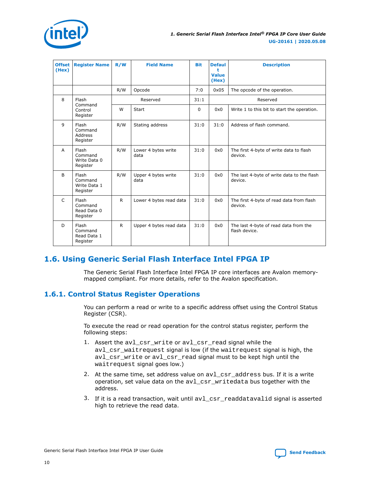<span id="page-9-0"></span>

| <b>Offset</b><br>(Hex) | <b>Register Name</b>                         | R/W | <b>Field Name</b>           | <b>Bit</b> | <b>Defaul</b><br>۰<br><b>Value</b><br>(Hex) | <b>Description</b>                                     |
|------------------------|----------------------------------------------|-----|-----------------------------|------------|---------------------------------------------|--------------------------------------------------------|
|                        |                                              | R/W | Opcode                      | 7:0        | 0x05                                        | The opcode of the operation.                           |
| 8                      | Flash                                        |     | Reserved                    | 31:1       |                                             | Reserved                                               |
|                        | Command<br>Control<br>Register               | W   | Start                       | $\Omega$   | 0x0                                         | Write 1 to this bit to start the operation.            |
| $\mathsf{q}$           | Flash<br>Command<br>Address<br>Register      | R/W | Stating address             |            | 31:0                                        | Address of flash command.                              |
| $\overline{A}$         | Flash<br>Command<br>Write Data 0<br>Register | R/W | Lower 4 bytes write<br>data | 31:0       | 0x0                                         | The first 4-byte of write data to flash<br>device.     |
| <sub>B</sub>           | Flash<br>Command<br>Write Data 1<br>Register | R/W | Upper 4 bytes write<br>data | 31:0       | 0x0                                         | The last 4-byte of write data to the flash<br>device.  |
| $\mathsf{C}$           | Flash<br>Command<br>Read Data 0<br>Register  | R   | Lower 4 bytes read data     | 31:0       | 0x0                                         | The first 4-byte of read data from flash<br>device.    |
| D                      | Flash<br>Command<br>Read Data 1<br>Register  | R   | Upper 4 bytes read data     | 31:0       | 0x0                                         | The last 4-byte of read data from the<br>flash device. |

# **1.6. Using Generic Serial Flash Interface Intel FPGA IP**

The Generic Serial Flash Interface Intel FPGA IP core interfaces are Avalon memorymapped compliant. For more details, refer to the Avalon specification.

# **1.6.1. Control Status Register Operations**

You can perform a read or write to a specific address offset using the Control Status Register (CSR).

To execute the read or read operation for the control status register, perform the following steps:

- 1. Assert the avl\_csr\_write or avl\_csr\_read signal while the avl\_csr\_waitrequest signal is low (if the waitrequest signal is high, the avl\_csr\_write or avl\_csr\_read signal must to be kept high until the waitrequest signal goes low.)
- 2. At the same time, set address value on avl csr address bus. If it is a write operation, set value data on the avl\_csr\_writedata bus together with the address.
- 3. If it is a read transaction, wait until  $av1~csr~\text{readdatavalid signal}$  is asserted high to retrieve the read data.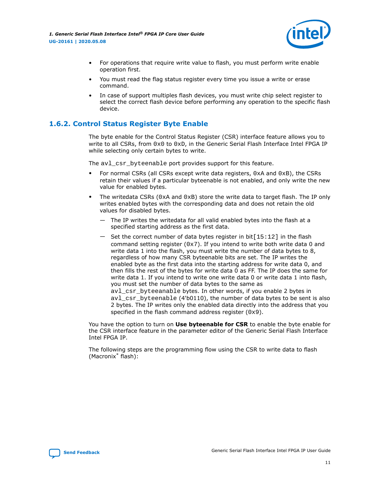

- <span id="page-10-0"></span>• For operations that require write value to flash, you must perform write enable operation first.
- You must read the flag status register every time you issue a write or erase command.
- In case of support multiples flash devices, you must write chip select register to select the correct flash device before performing any operation to the specific flash device.

# **1.6.2. Control Status Register Byte Enable**

The byte enable for the Control Status Register (CSR) interface feature allows you to write to all CSRs, from  $0 \times 0$  to  $0 \times D$ , in the Generic Serial Flash Interface Intel FPGA IP while selecting only certain bytes to write.

The avl csr byteenable port provides support for this feature.

- For normal CSRs (all CSRs except write data registers,  $0 \times A$  and  $0 \times B$ ), the CSRs retain their values if a particular byteenable is not enabled, and only write the new value for enabled bytes.
- The writedata CSRs ( $0xA$  and  $0xB$ ) store the write data to target flash. The IP only writes enabled bytes with the corresponding data and does not retain the old values for disabled bytes.
	- The IP writes the writedata for all valid enabled bytes into the flash at a specified starting address as the first data.
	- Set the correct number of data bytes register in bit $[15:12]$  in the flash command setting register  $(0x7)$ . If you intend to write both write data 0 and write data 1 into the flash, you must write the number of data bytes to 8, regardless of how many CSR byteenable bits are set. The IP writes the enabled byte as the first data into the starting address for write data 0, and then fills the rest of the bytes for write data 0 as FF. The IP does the same for write data 1. If you intend to write one write data 0 or write data 1 into flash, you must set the number of data bytes to the same as avl csr byteeanable bytes. In other words, if you enable 2 bytes in avl\_csr\_byteenable (4'b0110), the number of data bytes to be sent is also 2 bytes. The IP writes only the enabled data directly into the address that you

You have the option to turn on **Use byteenable for CSR** to enable the byte enable for the CSR interface feature in the parameter editor of the Generic Serial Flash Interface Intel FPGA IP.

The following steps are the programming flow using the CSR to write data to flash (Macronix\* flash):

specified in the flash command address register  $(0x9)$ .

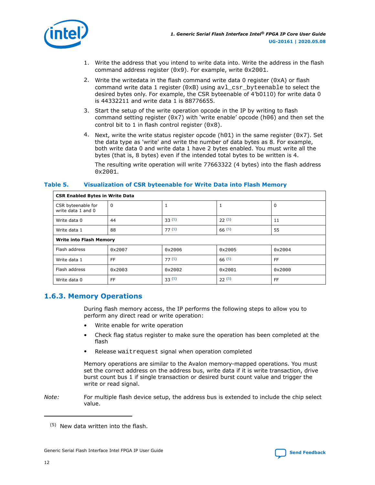<span id="page-11-0"></span>

- 1. Write the address that you intend to write data into. Write the address in the flash command address register (0x9). For example, write 0x2001.
- 2. Write the writedata in the flash command write data 0 register ( $0xA$ ) or flash command write data 1 register (0xB) using avl\_csr\_byteenable to select the desired bytes only. For example, the CSR byteenable of 4'b0110) for write data 0 is 44332211 and write data 1 is 88776655.
- 3. Start the setup of the write operation opcode in the IP by writing to flash command setting register ( $0x7$ ) with 'write enable' opcode ( $h06$ ) and then set the control bit to 1 in flash control register  $(0x8)$ .
- 4. Next, write the write status register opcode (h01) in the same register ( $0x7$ ). Set the data type as 'write' and write the number of data bytes as 8. For example, both write data 0 and write data 1 have 2 bytes enabled. You must write all the bytes (that is, 8 bytes) even if the intended total bytes to be written is 4.

The resulting write operation will write 77663322 (4 bytes) into the flash address  $0x2001.$ 

## **Table 5. Visualization of CSR byteenable for Write Data into Flash Memory**

| <b>CSR Enabled Bytes in Write Data</b>   |                                |                 |        |           |  |  |  |  |
|------------------------------------------|--------------------------------|-----------------|--------|-----------|--|--|--|--|
| CSR byteenable for<br>write data 1 and 0 | $\Omega$                       |                 | 1      | 0         |  |  |  |  |
| Write data 0                             | 44                             | 33(5)           | 22(5)  | 11        |  |  |  |  |
| Write data 1                             | 88                             | 77(5)           | 66(5)  | 55        |  |  |  |  |
|                                          | <b>Write into Flash Memory</b> |                 |        |           |  |  |  |  |
| Flash address                            | 0x2007                         | $0 \times 2006$ | 0x2005 | 0x2004    |  |  |  |  |
| Write data 1                             | FF.                            | 77(5)           | 66(5)  | <b>FF</b> |  |  |  |  |
| Flash address                            | 0x2003                         | 0x2002          | 0x2001 | 0x2000    |  |  |  |  |
| Write data 0                             | FF.                            | 33(5)           | 22(5)  | FF        |  |  |  |  |

# **1.6.3. Memory Operations**

During flash memory access, the IP performs the following steps to allow you to perform any direct read or write operation:

- Write enable for write operation
- Check flag status register to make sure the operation has been completed at the flash
- Release waitrequest signal when operation completed

Memory operations are similar to the Avalon memory-mapped operations. You must set the correct address on the address bus, write data if it is write transaction, drive burst count bus 1 if single transaction or desired burst count value and trigger the write or read signal.

*Note:* For multiple flash device setup, the address bus is extended to include the chip select value.

<sup>(5)</sup> New data written into the flash.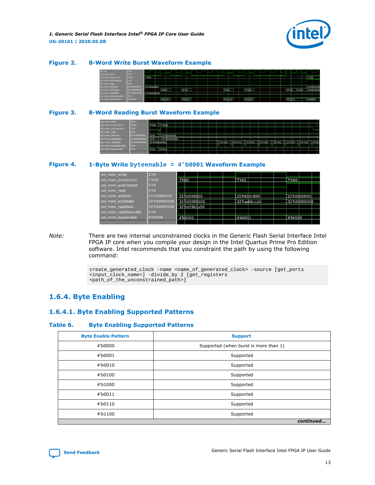

#### <span id="page-12-0"></span>**Figure 2. 8-Word Write Burst Waveform Example**

| clk_clk               | 1'h0              |              |          |                                  |          |  |                     |           |                      |  |          |         |       |               |
|-----------------------|-------------------|--------------|----------|----------------------------------|----------|--|---------------------|-----------|----------------------|--|----------|---------|-------|---------------|
| avl_mem_write         | 1 <sup>th</sup> 0 |              |          |                                  |          |  |                     |           |                      |  |          |         |       |               |
| avl mem burstcount    | 7'h00             | 7'h08        |          |                                  |          |  |                     |           |                      |  |          |         | 7 hoo |               |
| avl mem waitrequest   | 1 <sup>th</sup> 0 |              |          |                                  |          |  |                     |           |                      |  |          |         |       |               |
| avl_mem_read          | 1 <sup>bo</sup>   |              |          |                                  |          |  |                     |           |                      |  |          |         |       |               |
| avl mem address       | 25'h0000000       | 25'h000a800  |          |                                  |          |  |                     |           |                      |  |          |         |       | 25'h000000    |
| avl_mem_writedata     | 32'h00000000      |              | 32'hfa   | (32 <sub>th</sub> ) <sub>1</sub> |          |  | (32 <sup>n</sup> 4) |           | (32 <sub>h</sub> 6b) |  | 32 ho.   | . 32hd. |       | $132$ h000000 |
| avi mem readdata      | 32'h0000000       | 32'h00000000 |          |                                  |          |  |                     |           |                      |  |          |         |       |               |
| avl_mem_readdatavalid | 1 <sup>n</sup>    |              |          |                                  |          |  |                     |           |                      |  |          |         |       |               |
| avl_mem_byteenable    | 4'b0000           |              | (461)111 |                                  | (451111) |  |                     | (4511111) | (4511119)            |  | (451111) |         |       | 4 50000       |
|                       |                   |              |          |                                  |          |  |                     |           |                      |  |          |         |       |               |

### **Figure 3. 8-Word Reading Burst Waveform Example**

| avl mem write         | $1'$ ho           |                              |  |  |                                                                                 |  |  |  |  |  |
|-----------------------|-------------------|------------------------------|--|--|---------------------------------------------------------------------------------|--|--|--|--|--|
| avl mem burstcount    | 7'h00             | 7'h00 117'h00                |  |  |                                                                                 |  |  |  |  |  |
| avl mem waitrequest   | 1 <sup>th</sup> 0 |                              |  |  |                                                                                 |  |  |  |  |  |
| avl_mem_read          | 1 <sup>th</sup> 0 |                              |  |  |                                                                                 |  |  |  |  |  |
| avl mem address       | 25'h0000000       | 25'h 1125'h0000000           |  |  |                                                                                 |  |  |  |  |  |
| avl mem writedata     | 32'h000000        | 32'h 32'h00000000            |  |  |                                                                                 |  |  |  |  |  |
| avl mem readdata      | 32'h000000        | 32'h00000000                 |  |  | II 132 hbo I Is2 hoo I 132 hoo I 132 hoo I 132 hoo I 132 hbo I 132 hoo I 32 hdz |  |  |  |  |  |
| avl mem readdatavalid | 1 <sup>h</sup> 0  |                              |  |  |                                                                                 |  |  |  |  |  |
| avl mem byteenable    | 4'h0              | $II4$ ho<br>4 h <sub>0</sub> |  |  |                                                                                 |  |  |  |  |  |
|                       |                   |                              |  |  |                                                                                 |  |  |  |  |  |

#### **Figure 4. 1-Byte Write byteenable = 4'b0001 Waveform Example**

| avl mem write         | 1'h0              |                    |              |  |         |              |  |          |               |  |
|-----------------------|-------------------|--------------------|--------------|--|---------|--------------|--|----------|---------------|--|
| avl mem burstcount    | 7'h00             | 7 <sup>th</sup> 00 |              |  | 7'h01   |              |  | 7'h00    |               |  |
| avl mem waitrequest   | 1'h0              |                    |              |  |         |              |  |          |               |  |
| avl mem read          | 1 <sup>th</sup> 0 |                    |              |  |         |              |  |          |               |  |
| avl mem address       | 25'h0000000       |                    | 25 h0000000  |  |         | 25'h000c800  |  |          | l 25'h0000000 |  |
| avl mem writedata     | 32'h00000000      |                    | 32'h00000000 |  |         | 32'haabbccdd |  |          | 32'h00000000  |  |
| avl mem readdata      | 32'h00000000      |                    | 32'hd29b1a56 |  |         |              |  |          |               |  |
| avl mem readdatavalid | 1 <sup>th</sup> 0 |                    |              |  |         |              |  |          |               |  |
| avl mem byteenable    | 4'b0000           |                    | 4'b0000      |  | 4'b0001 |              |  | 4'b0000' |               |  |
|                       |                   |                    |              |  |         |              |  |          |               |  |

*Note:* There are two internal unconstrained clocks in the Generic Flash Serial Interface Intel FPGA IP core when you compile your design in the Intel Quartus Prime Pro Edition software. Intel recommends that you constraint the path by using the following command:

> create\_generated\_clock -name <name\_of\_generated\_clock> -source [get\_ports <input\_clock\_name>] -divide\_by 2 [get\_registers <path\_of\_the\_unconstrained\_path>]

# **1.6.4. Byte Enabling**

### **1.6.4.1. Byte Enabling Supported Patterns**

#### **Table 6. Byte Enabling Supported Patterns**

| <b>Byte Enable Pattern</b> | <b>Support</b>                        |
|----------------------------|---------------------------------------|
| 4'b0000                    | Supported (when burst is more than 1) |
| 4'b0001                    | Supported                             |
| 4'b0010                    | Supported                             |
| 4'b0100                    | Supported                             |
| 4'b1000                    | Supported                             |
| 4'b0011                    | Supported                             |
| 4'b0110                    | Supported                             |
| 4'b1100                    | Supported                             |
|                            | continued                             |

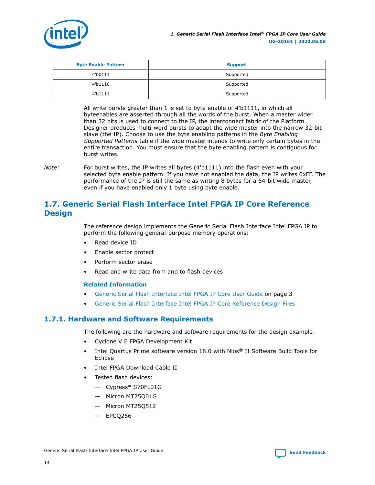<span id="page-13-0"></span>

| <b>Byte Enable Pattern</b> | <b>Support</b> |
|----------------------------|----------------|
| 4'b0111                    | Supported      |
| 4'b1110                    | Supported      |
| 4 <sup>b</sup> 1111        | Supported      |

All write bursts greater than 1 is set to byte enable of 4'b1111, in which all byteenables are asserted through all the words of the burst. When a master wider than 32 bits is used to connect to the IP, the interconnect fabric of the Platform Designer produces multi-word bursts to adapt the wide master into the narrow 32-bit slave (the IP). Choose to use the byte enabling patterns in the *Byte Enabling Supported Patterns* table if the wide master intends to write only certain bytes in the entire transaction. You must ensure that the byte enabling pattern is contiguous for burst writes.

*Note:* For burst writes, the IP writes all bytes (4'b1111) into the flash even with your selected byte enable pattern. If you have not enabled the data, the IP writes 0xFF. The performance of the IP is still the same as writing 8 bytes for a 64-bit wide master, even if you have enabled only 1 byte using byte enable.

# **1.7. Generic Serial Flash Interface Intel FPGA IP Core Reference Design**

The reference design implements the Generic Serial Flash Interface Intel FPGA IP to perform the following general-purpose memory operations:

- Read device ID
- Enable sector protect
- Perform sector erase
- Read and write data from and to flash devices

### **Related Information**

- [Generic Serial Flash Interface Intel FPGA IP Core User Guide](#page-2-0) on page 3
- [Generic Serial Flash Interface Intel FPGA IP Core Reference Design Files](https://cloud.altera.com/devstore/platform/2179/)

# **1.7.1. Hardware and Software Requirements**

The following are the hardware and software requirements for the design example:

- Cyclone V E FPGA Development Kit
- Intel Quartus Prime software version 18.0 with Nios® II Software Build Tools for Eclipse
- Intel FPGA Download Cable II
- Tested flash devices:
	- Cypress\* S70FL01G
	- Micron MT25Q01G
	- Micron MT25Q512
	- EPCQ256

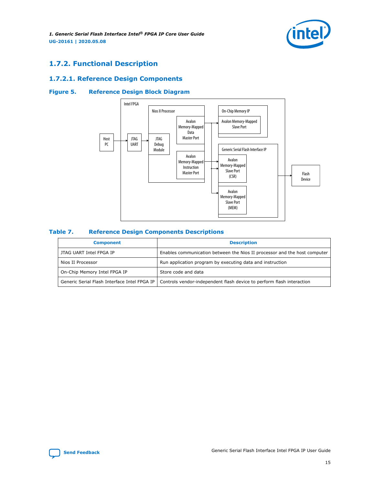<span id="page-14-0"></span>*1. Generic Serial Flash Interface Intel® FPGA IP Core User Guide* **UG-20161 | 2020.05.08**



# **1.7.2. Functional Description**

## **1.7.2.1. Reference Design Components**

## **Figure 5. Reference Design Block Diagram**



#### **Table 7. Reference Design Components Descriptions**

| <b>Component</b>             | <b>Description</b>                                                                                                   |  |  |  |  |
|------------------------------|----------------------------------------------------------------------------------------------------------------------|--|--|--|--|
| JTAG UART Intel FPGA IP      | Enables communication between the Nios II processor and the host computer                                            |  |  |  |  |
| Nios II Processor            | Run application program by executing data and instruction                                                            |  |  |  |  |
| On-Chip Memory Intel FPGA IP | Store code and data                                                                                                  |  |  |  |  |
|                              | Generic Serial Flash Interface Intel FPGA IP   Controls vendor-independent flash device to perform flash interaction |  |  |  |  |

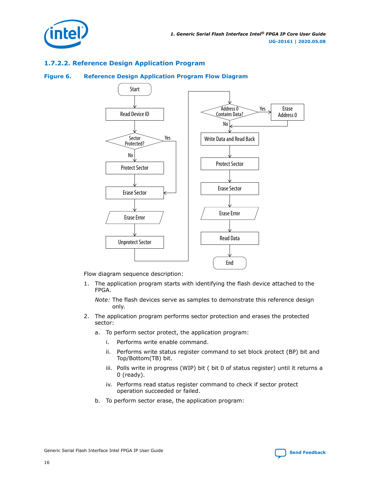

# **1.7.2.2. Reference Design Application Program**

#### **Figure 6. Reference Design Application Program Flow Diagram**



Flow diagram sequence description:

1. The application program starts with identifying the flash device attached to the FPGA.

*Note:* The flash devices serve as samples to demonstrate this reference design only.

- 2. The application program performs sector protection and erases the protected sector:
	- a. To perform sector protect, the application program:
		- i. Performs write enable command.
		- ii. Performs write status register command to set block protect (BP) bit and Top/Bottom(TB) bit.
		- iii. Polls write in progress (WIP) bit ( bit 0 of status register) until it returns a 0 (ready).
		- iv. Performs read status register command to check if sector protect operation succeeded or failed.
	- b. To perform sector erase, the application program: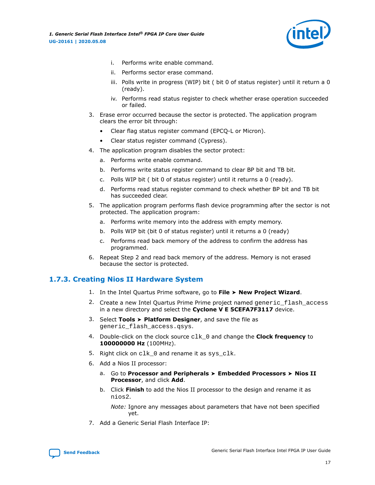

- <span id="page-16-0"></span>i. Performs write enable command.
- ii. Performs sector erase command.
- iii. Polls write in progress (WIP) bit ( bit 0 of status register) until it return a 0 (ready).
- iv. Performs read status register to check whether erase operation succeeded or failed.
- 3. Erase error occurred because the sector is protected. The application program clears the error bit through:
	- Clear flag status register command (EPCQ-L or Micron).
	- Clear status register command (Cypress).
- 4. The application program disables the sector protect:
	- a. Performs write enable command.
	- b. Performs write status register command to clear BP bit and TB bit.
	- c. Polls WIP bit ( bit 0 of status register) until it returns a 0 (ready).
	- d. Performs read status register command to check whether BP bit and TB bit has succeeded clear.
- 5. The application program performs flash device programming after the sector is not protected. The application program:
	- a. Performs write memory into the address with empty memory.
	- b. Polls WIP bit (bit 0 of status register) until it returns a 0 (ready)
	- c. Performs read back memory of the address to confirm the address has programmed.
- 6. Repeat Step 2 and read back memory of the address. Memory is not erased because the sector is protected.

# **1.7.3. Creating Nios II Hardware System**

- 1. In the Intel Quartus Prime software, go to **File** ➤ **New Project Wizard**.
- 2. Create a new Intel Quartus Prime Prime project named generic flash access in a new directory and select the **Cyclone V E 5CEFA7F3117** device.
- 3. Select **Tools** ➤ **Platform Designer**, and save the file as generic\_flash\_access.qsys.
- 4. Double-click on the clock source clk\_0 and change the **Clock frequency** to **100000000 Hz** (100MHz).
- 5. Right click on clk\_0 and rename it as sys\_clk.
- 6. Add a Nios II processor:
	- a. Go to **Processor and Peripherals** ➤ **Embedded Processors** ➤ **Nios II Processor**, and click **Add**.
	- b. Click **Finish** to add the Nios II processor to the design and rename it as nios2.

*Note:* Ignore any messages about parameters that have not been specified yet.

7. Add a Generic Serial Flash Interface IP: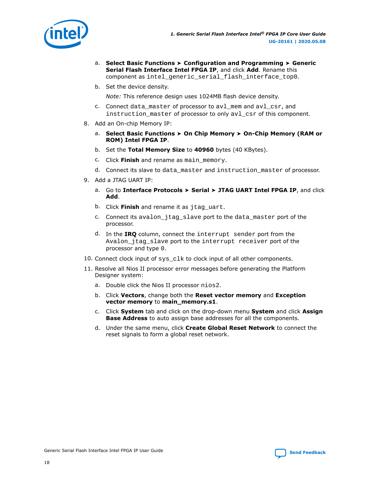

- a. **Select Basic Functions** ➤ **Configuration and Programming** ➤ **Generic Serial Flash Interface Intel FPGA IP**, and click **Add**. Rename this component as intel\_generic\_serial\_flash\_interface\_top0.
- b. Set the device density.

*Note:* This reference design uses 1024MB flash device density.

- c. Connect data master of processor to avl\_mem and avl\_csr, and instruction\_master of processor to only avl\_csr of this component.
- 8. Add an On-chip Memory IP:
	- a. **Select Basic Functions** ➤ **On Chip Memory** ➤ **On-Chip Memory (RAM or ROM) Intel FPGA IP**.
	- b. Set the **Total Memory Size** to **40960** bytes (40 KBytes).
	- c. Click **Finish** and rename as main\_memory.
	- d. Connect its slave to data\_master and instruction\_master of processor.
- 9. Add a JTAG UART IP:
	- a. Go to **Interface Protocols** ➤ **Serial** ➤ **JTAG UART Intel FPGA IP**, and click **Add**.
	- b. Click **Finish** and rename it as jtag\_uart.
	- c. Connect its avalon\_jtag\_slave port to the data\_master port of the processor.
	- d. In the **IRQ** column, connect the interrupt sender port from the Avalon\_jtag\_slave port to the interrupt receiver port of the processor and type 0.
- 10. Connect clock input of sys clk to clock input of all other components.
- 11. Resolve all Nios II processor error messages before generating the Platform Designer system:
	- a. Double click the Nios II processor nios2.
	- b. Click **Vectors**, change both the **Reset vector memory** and **Exception vector memory** to **main\_memory.s1**.
	- c. Click **System** tab and click on the drop-down menu **System** and click **Assign Base Address** to auto assign base addresses for all the components.
	- d. Under the same menu, click **Create Global Reset Network** to connect the reset signals to form a global reset network.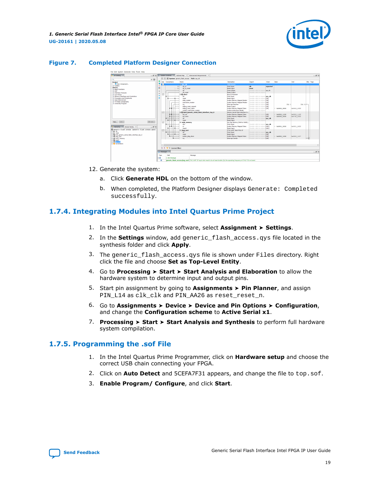

### <span id="page-18-0"></span>**Figure 7. Completed Platform Designer Connection**



- 12. Generate the system:
	- a. Click **Generate HDL** on the bottom of the window.
	- b. When completed, the Platform Designer displays Generate: Completed successfully.

# **1.7.4. Integrating Modules into Intel Quartus Prime Project**

- 1. In the Intel Quartus Prime software, select **Assignment** ➤ **Settings**.
- 2. In the **Settings** window, add generic\_flash\_access.qys file located in the synthesis folder and click **Apply**.
- 3. The generic\_flash\_access.qys file is shown under Files directory. Right click the file and choose **Set as Top-Level Entity**.
- 4. Go to **Processing** ➤ **Start** ➤ **Start Analysis and Elaboration** to allow the hardware system to determine input and output pins.
- 5. Start pin assignment by going to **Assignments** ➤ **Pin Planner**, and assign PIN\_L14 as clk\_clk and PIN\_AA26 as reset\_reset\_n.
- 6. Go to **Assignments** ➤ **Device** ➤ **Device and Pin Options** ➤ **Configuration**, and change the **Configuration scheme** to **Active Serial x1**.
- 7. **Processing** ➤ **Start** ➤ **Start Analysis and Synthesis** to perform full hardware system compilation.

## **1.7.5. Programming the .sof File**

- 1. In the Intel Quartus Prime Programmer, click on **Hardware setup** and choose the correct USB chain connecting your FPGA.
- 2. Click on **Auto Detect** and 5CEFA7F31 appears, and change the file to top.sof.
- 3. **Enable Program/ Configure**, and click **Start**.

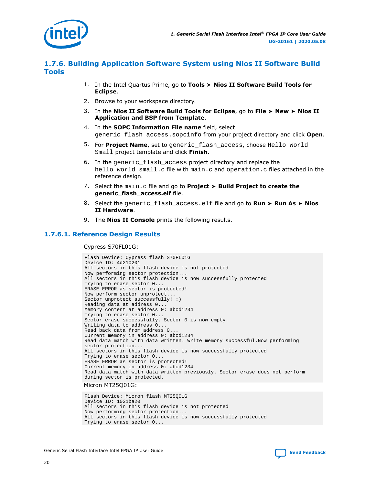<span id="page-19-0"></span>

# **1.7.6. Building Application Software System using Nios II Software Build Tools**

- 1. In the Intel Quartus Prime, go to **Tools** ➤ **Nios II Software Build Tools for Eclipse**.
- 2. Browse to your workspace directory.
- 3. In the **Nios II Software Build Tools for Eclipse**, go to **File** ➤ **New** ➤ **Nios II Application and BSP from Template**.
- 4. In the **SOPC Information File name** field, select generic\_flash\_access.sopcinfo from your project directory and click **Open**.
- 5. For **Project Name**, set to generic\_flash\_access, choose Hello World Small project template and click **Finish**.
- 6. In the generic\_flash\_access project directory and replace the hello\_world\_small.c file with main.c and operation.c files attached in the reference design.
- 7. Select the main.c file and go to **Project** ➤ **Build Project to create the generic\_flash\_access.elf** file.
- 8. Select the generic\_flash\_access.elf file and go to **Run** ➤ **Run As** ➤ **Nios II Hardware**.
- 9. The **Nios II Console** prints the following results.

### **1.7.6.1. Reference Design Results**

Cypress S70FL01G:

```
Flash Device: Cypress flash S70FL01G
Device ID: 4d210201
All sectors in this flash device is not protected
Now performing sector protection...
All sectors in this flash device is now successfully protected
Trying to erase sector 0...
ERASE ERROR as sector is protected!
Now perform sector unprotect...
Sector unprotect successfully! :)
Reading data at address 0...
Memory content at address 0: abcd1234
Trying to erase sector 0...
Sector erase successfully. Sector 0 is now empty.
Writing data to address 0...
Read back data from address 0...
Current memory in address 0: abcd1234
Read data match with data written. Write memory successful.Now performing 
sector protection...
All sectors in this flash device is now successfully protected
Trying to erase sector 0...
ERASE ERROR as sector is protected!
Current memory in address 0: abcd1234
Read data match with data written previously. Sector erase does not perform 
during sector is protected.
```
#### Micron MT25Q01G:

Flash Device: Micron flash MT25Q01G Device ID: 1021ba20 All sectors in this flash device is not protected Now performing sector protection... All sectors in this flash device is now successfully protected Trying to erase sector 0...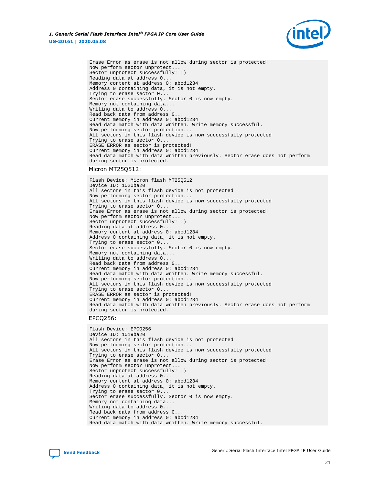

Erase Error as erase is not allow during sector is protected! Now perform sector unprotect... Sector unprotect successfully! :) Reading data at address 0... Memory content at address 0: abcd1234 Address 0 containing data, it is not empty. Trying to erase sector 0... Sector erase successfully. Sector 0 is now empty. Memory not containing data... Writing data to address 0... Read back data from address 0... Current memory in address 0: abcd1234 Read data match with data written. Write memory successful. Now performing sector protection... All sectors in this flash device is now successfully protected Trying to erase sector 0... ERASE ERROR as sector is protected! Current memory in address 0: abcd1234 Read data match with data written previously. Sector erase does not perform during sector is protected.

#### Micron MT25Q512:

Flash Device: Micron flash MT25Q512 Device ID: 1020ba20 All sectors in this flash device is not protected Now performing sector protection... All sectors in this flash device is now successfully protected Trying to erase sector 0... Erase Error as erase is not allow during sector is protected! Now perform sector unprotect... Sector unprotect successfully! :) Reading data at address 0... Memory content at address 0: abcd1234 Address 0 containing data, it is not empty. Trying to erase sector 0... Sector erase successfully. Sector 0 is now empty. Memory not containing data... Writing data to address 0... Read back data from address 0... Current memory in address 0: abcd1234 Read data match with data written. Write memory successful. Now performing sector protection... All sectors in this flash device is now successfully protected Trying to erase sector 0... ERASE ERROR as sector is protected! Current memory in address 0: abcd1234 Read data match with data written previously. Sector erase does not perform during sector is protected.

#### EPCQ256:

Flash Device: EPCQ256 Device ID: 1019ba20 All sectors in this flash device is not protected Now performing sector protection... All sectors in this flash device is now successfully protected Trying to erase sector 0... Erase Error as erase is not allow during sector is protected! Now perform sector unprotect... Sector unprotect successfully! :) Reading data at address 0... Memory content at address 0: abcd1234 Address 0 containing data, it is not empty. Trying to erase sector 0... Sector erase successfully. Sector 0 is now empty. Memory not containing data... Writing data to address 0... Read back data from address 0... Current memory in address 0: abcd1234 Read data match with data written. Write memory successful.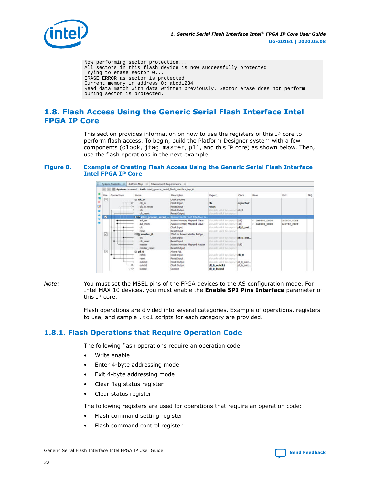<span id="page-21-0"></span>

Now performing sector protection... All sectors in this flash device is now successfully protected Trying to erase sector 0... ERASE ERROR as sector is protected! Current memory in address 0: abcd1234 Read data match with data written previously. Sector erase does not perform during sector is protected.

# **1.8. Flash Access Using the Generic Serial Flash Interface Intel FPGA IP Core**

This section provides information on how to use the registers of this IP core to perform flash access. To begin, build the Platform Designer system with a few components (clock, jtag master, pll, and this IP core) as shown below. Then, use the flash operations in the next example.

#### **Figure 8. Example of Creating Flash Access Using the Generic Serial Flash Interface Intel FPGA IP Core**



*Note:* You must set the MSEL pins of the FPGA devices to the AS configuration mode. For Intel MAX 10 devices, you must enable the **Enable SPI Pins Interface** parameter of this IP core.

> Flash operations are divided into several categories. Example of operations, registers to use, and sample .tcl scripts for each category are provided.

# **1.8.1. Flash Operations that Require Operation Code**

The following flash operations require an operation code:

- Write enable
- Enter 4-byte addressing mode
- Exit 4-byte addressing mode
- Clear flag status register
- Clear status register

The following registers are used for operations that require an operation code:

- Flash command setting register
- Flash command control register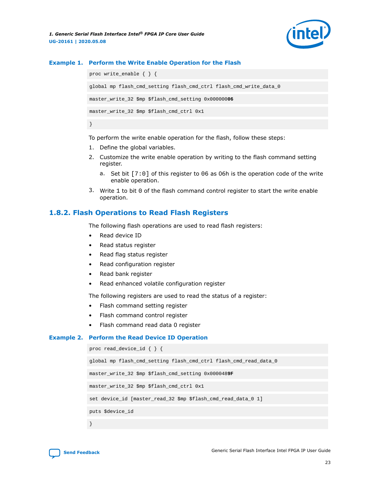

#### <span id="page-22-0"></span>**Example 1. Perform the Write Enable Operation for the Flash**

```
proc write_enable { } {
global mp flash_cmd_setting flash_cmd_ctrl flash_cmd_write_data_0
master_write_32 $mp $flash_cmd_setting 0x00000006
master_write_32 $mp $flash_cmd_ctrl 0x1
}
```
To perform the write enable operation for the flash, follow these steps:

- 1. Define the global variables.
- 2. Customize the write enable operation by writing to the flash command setting register.
	- a. Set bit [7:0] of this register to 06 as 06h is the operation code of the write enable operation.
- 3. Write 1 to bit 0 of the flash command control register to start the write enable operation.

# **1.8.2. Flash Operations to Read Flash Registers**

The following flash operations are used to read flash registers:

- Read device ID
- Read status register
- Read flag status register
- Read configuration register
- Read bank register
- Read enhanced volatile configuration register

The following registers are used to read the status of a register:

- Flash command setting register
- Flash command control register
- Flash command read data 0 register

#### **Example 2. Perform the Read Device ID Operation**

```
proc read_device_id { } {
global mp flash_cmd_setting flash_cmd_ctrl flash_cmd_read_data_0
master_write_32 $mp $flash_cmd_setting 0x0000489F
master_write_32 $mp $flash_cmd_ctrl 0x1
set device_id [master_read_32 $mp $flash_cmd_read_data_0 1]
puts $device_id
}
```
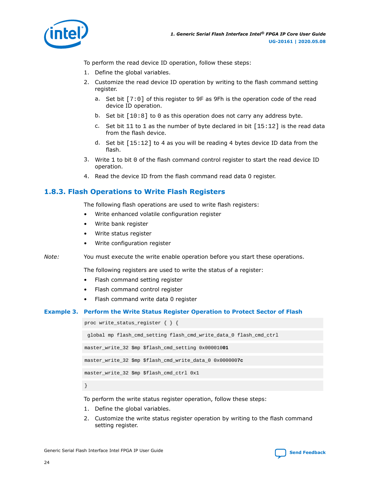<span id="page-23-0"></span>

To perform the read device ID operation, follow these steps:

- 1. Define the global variables.
- 2. Customize the read device ID operation by writing to the flash command setting register.
	- a. Set bit [7:0] of this register to 9F as 9Fh is the operation code of the read device ID operation.
	- b. Set bit [10:8] to 0 as this operation does not carry any address byte.
	- c. Set bit  $11$  to  $1$  as the number of byte declared in bit  $[15:12]$  is the read data from the flash device.
	- d. Set bit [15:12] to 4 as you will be reading 4 bytes device ID data from the flash.
- 3. Write 1 to bit 0 of the flash command control register to start the read device ID operation.
- 4. Read the device ID from the flash command read data 0 register.

# **1.8.3. Flash Operations to Write Flash Registers**

The following flash operations are used to write flash registers:

- Write enhanced volatile configuration register
- Write bank register
- Write status register
- Write configuration register

*Note:* You must execute the write enable operation before you start these operations.

The following registers are used to write the status of a register:

- Flash command setting register
- Flash command control register
- Flash command write data 0 register

### **Example 3. Perform the Write Status Register Operation to Protect Sector of Flash**

proc write\_status\_register { } {

```
 global mp flash_cmd_setting flash_cmd_write_data_0 flash_cmd_ctrl
```
master\_write\_32 \$mp \$flash\_cmd\_setting 0x000010**01**

master\_write\_32 \$mp \$flash\_cmd\_write\_data\_0 0x000000**7c**

master\_write\_32 \$mp \$flash\_cmd\_ctrl 0x1

}

To perform the write status register operation, follow these steps:

- 1. Define the global variables.
- 2. Customize the write status register operation by writing to the flash command setting register.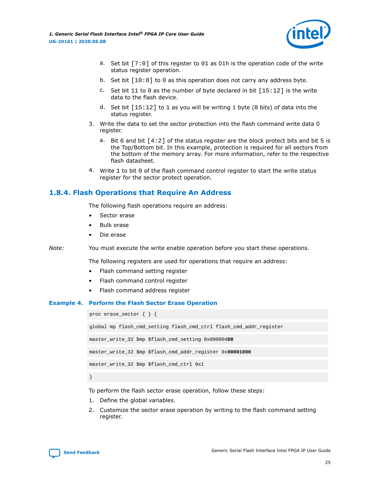<span id="page-24-0"></span>*1. Generic Serial Flash Interface Intel® FPGA IP Core User Guide* **UG-20161 | 2020.05.08**



- a. Set bit  $[7:0]$  of this register to 01 as 01h is the operation code of the write status register operation.
- b. Set bit  $[10:8]$  to 0 as this operation does not carry any address byte.
- c. Set bit 11 to 0 as the number of byte declared in bit  $[15:12]$  is the write data to the flash device.
- d. Set bit  $[15:12]$  to 1 as you will be writing 1 byte (8 bits) of data into the status register.
- 3. Write the data to set the sector protection into the flash command write data 0 register.
	- a. Bit 6 and bit  $[4:2]$  of the status register are the block protect bits and bit 5 is the Top/Bottom bit. In this example, protection is required for all sectors from the bottom of the memory array. For more information, refer to the respective flash datasheet.
- 4. Write 1 to bit 0 of the flash command control register to start the write status register for the sector protect operation.

# **1.8.4. Flash Operations that Require An Address**

The following flash operations require an address:

- Sector erase
- Bulk erase
- Die erase

*Note:* You must execute the write enable operation before you start these operations.

The following registers are used for operations that require an address:

- Flash command setting register
- Flash command control register
- Flash command address register

#### **Example 4. Perform the Flash Sector Erase Operation**

proc erase\_sector { } { global mp flash\_cmd\_setting flash\_cmd\_ctrl flash\_cmd\_addr\_register master\_write\_32 \$mp \$flash\_cmd\_setting 0x000004**D8** master\_write\_32 \$mp \$flash\_cmd\_addr\_register 0x**00001000** master\_write\_32 \$mp \$flash\_cmd\_ctrl 0x1 }

To perform the flash sector erase operation, follow these steps:

- 1. Define the global variables.
- 2. Customize the sector erase operation by writing to the flash command setting register.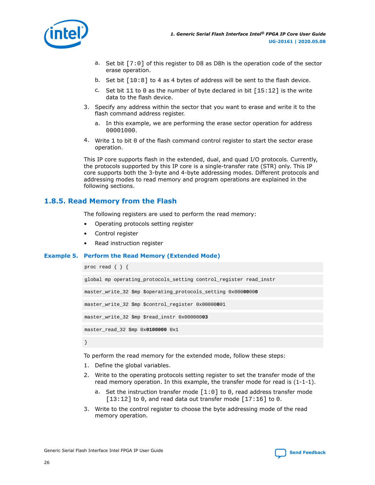<span id="page-25-0"></span>

- a. Set bit [7:0] of this register to D8 as D8h is the operation code of the sector erase operation.
- b. Set bit [10:8] to 4 as 4 bytes of address will be sent to the flash device.
- c. Set bit 11 to 0 as the number of byte declared in bit  $[15:12]$  is the write data to the flash device.
- 3. Specify any address within the sector that you want to erase and write it to the flash command address register.
	- a. In this example, we are performing the erase sector operation for address 00001000.
- 4. Write 1 to bit 0 of the flash command control register to start the sector erase operation.

This IP core supports flash in the extended, dual, and quad I/O protocols. Currently, the protocols supported by this IP core is a single-transfer rate (STR) only. This IP core supports both the 3-byte and 4-byte addressing modes. Different protocols and addressing modes to read memory and program operations are explained in the following sections.

# **1.8.5. Read Memory from the Flash**

The following registers are used to perform the read memory:

- Operating protocols setting register
- Control register
- Read instruction register

### **Example 5. Perform the Read Memory (Extended Mode)**

```
proc read { } {
global mp operating_protocols_setting control_register read_instr
master_write_32 $mp $operating_protocols_setting 0x00000000
master_write_32 $mp $control_register 0x00000001
master_write_32 $mp $read_instr 0x00000003
master_read_32 $mp 0x0100000 0x1
}
```
To perform the read memory for the extended mode, follow these steps:

- 1. Define the global variables.
- 2. Write to the operating protocols setting register to set the transfer mode of the read memory operation. In this example, the transfer mode for read is  $(1-1-1)$ .
	- a. Set the instruction transfer mode [1:0] to 0, read address transfer mode  $[13:12]$  to 0, and read data out transfer mode  $[17:16]$  to 0.
- 3. Write to the control register to choose the byte addressing mode of the read memory operation.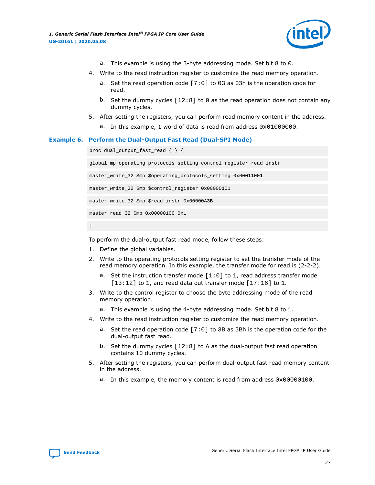

- a. This example is using the 3-byte addressing mode. Set bit 8 to 0.
- 4. Write to the read instruction register to customize the read memory operation.
	- a. Set the read operation code  $[7:0]$  to 03 as 03h is the operation code for read.
	- b. Set the dummy cycles  $[12:8]$  to 0 as the read operation does not contain any dummy cycles.
- 5. After setting the registers, you can perform read memory content in the address.
	- a. In this example, 1 word of data is read from address  $0 \times 010000000$ .

#### **Example 6. Perform the Dual-Output Fast Read (Dual-SPI Mode)**

```
proc dual_output_fast_read { } {
global mp operating_protocols_setting control_register read_instr
master_write_32 $mp $operating_protocols_setting 0x00011001
master_write_32 $mp $control_register 0x00000101
master_write_32 $mp $read_instr 0x00000A3B
master_read_32 $mp 0x00000100 0x1
```
}

To perform the dual-output fast read mode, follow these steps:

- 1. Define the global variables.
- 2. Write to the operating protocols setting register to set the transfer mode of the read memory operation. In this example, the transfer mode for read is (2-2-2).
	- a. Set the instruction transfer mode  $[1:0]$  to 1, read address transfer mode  $[13:12]$  to 1, and read data out transfer mode  $[17:16]$  to 1.
- 3. Write to the control register to choose the byte addressing mode of the read memory operation.
	- a. This example is using the 4-byte addressing mode. Set bit 8 to 1.
- 4. Write to the read instruction register to customize the read memory operation.
	- a. Set the read operation code [7:0] to 3B as 3Bh is the operation code for the dual-output fast read.
	- b. Set the dummy cycles  $[12:8]$  to A as the dual-output fast read operation contains 10 dummy cycles.
- 5. After setting the registers, you can perform dual-output fast read memory content in the address.
	- a. In this example, the memory content is read from address  $0 \times 00000100$ .

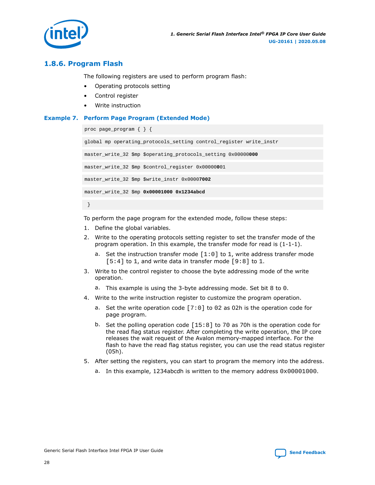<span id="page-27-0"></span>

# **1.8.6. Program Flash**

The following registers are used to perform program flash:

- Operating protocols setting
- Control register
- Write instruction

### **Example 7. Perform Page Program (Extended Mode)**

```
proc page_program { } {
global mp operating_protocols_setting control_register write_instr
master_write_32 $mp $operating_protocols_setting 0x00000000
master_write_32 $mp $control_register 0x00000001
master_write_32 $mp $write_instr 0x00007002
master_write_32 $mp 0x00001000 0x1234abcd
 }
```
To perform the page program for the extended mode, follow these steps:

- 1. Define the global variables.
- 2. Write to the operating protocols setting register to set the transfer mode of the program operation. In this example, the transfer mode for read is (1-1-1).
	- a. Set the instruction transfer mode  $[1:0]$  to 1, write address transfer mode  $[5:4]$  to 1, and write data in transfer mode  $[9:8]$  to 1.
- 3. Write to the control register to choose the byte addressing mode of the write operation.
	- a. This example is using the 3-byte addressing mode. Set bit 8 to 0.
- 4. Write to the write instruction register to customize the program operation.
	- a. Set the write operation code [7:0] to 02 as 02h is the operation code for page program.
	- b. Set the polling operation code [15:8] to 70 as 70h is the operation code for the read flag status register. After completing the write operation, the IP core releases the wait request of the Avalon memory-mapped interface. For the flash to have the read flag status register, you can use the read status register (05h).
- 5. After setting the registers, you can start to program the memory into the address.
	- a. In this example, 1234abcdh is written to the memory address 0x00001000.

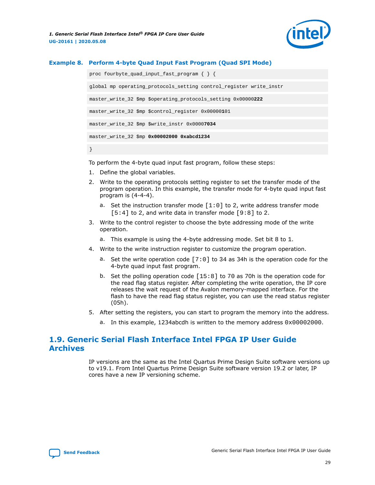

#### <span id="page-28-0"></span>**Example 8. Perform 4-byte Quad Input Fast Program (Quad SPI Mode)**

proc fourbyte\_quad\_input\_fast\_program { } { global mp operating\_protocols\_setting control\_register write\_instr master\_write\_32 \$mp \$operating\_protocols\_setting 0x00000**222** master\_write\_32 \$mp \$control\_register 0x00000**1**01 master\_write\_32 \$mp \$write\_instr 0x0000**7034** master\_write\_32 \$mp **0x00002000 0xabcd1234** }

To perform the 4-byte quad input fast program, follow these steps:

- 1. Define the global variables.
- 2. Write to the operating protocols setting register to set the transfer mode of the program operation. In this example, the transfer mode for 4-byte quad input fast program is (4-4-4).
	- a. Set the instruction transfer mode  $[1:0]$  to 2, write address transfer mode  $[5:4]$  to 2, and write data in transfer mode  $[9:8]$  to 2.
- 3. Write to the control register to choose the byte addressing mode of the write operation.
	- a. This example is using the 4-byte addressing mode. Set bit 8 to 1.
- 4. Write to the write instruction register to customize the program operation.
	- a. Set the write operation code [7:0] to 34 as 34h is the operation code for the 4-byte quad input fast program.
	- b. Set the polling operation code [15:8] to 70 as 70h is the operation code for the read flag status register. After completing the write operation, the IP core releases the wait request of the Avalon memory-mapped interface. For the flash to have the read flag status register, you can use the read status register (05h).
- 5. After setting the registers, you can start to program the memory into the address.
	- a. In this example, 1234abcdh is written to the memory address 0x00002000.

# **1.9. Generic Serial Flash Interface Intel FPGA IP User Guide Archives**

IP versions are the same as the Intel Quartus Prime Design Suite software versions up to v19.1. From Intel Quartus Prime Design Suite software version 19.2 or later, IP cores have a new IP versioning scheme.